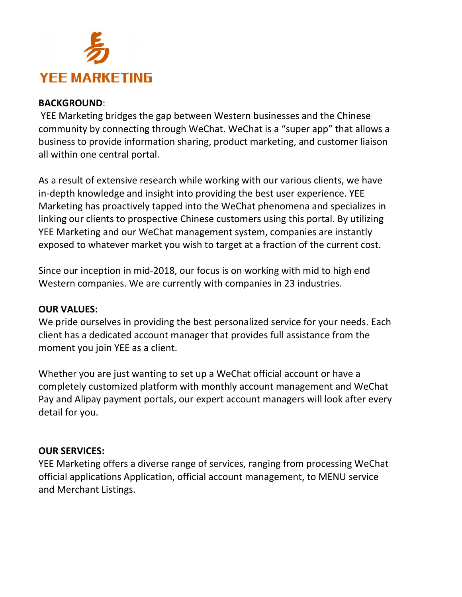

# BACKGROUND:

 YEE Marketing bridges the gap between Western businesses and the Chinese community by connecting through WeChat. WeChat is a "super app" that allows a business to provide information sharing, product marketing, and customer liaison all within one central portal.

As a result of extensive research while working with our various clients, we have in-depth knowledge and insight into providing the best user experience. YEE Marketing has proactively tapped into the WeChat phenomena and specializes in linking our clients to prospective Chinese customers using this portal. By utilizing YEE Marketing and our WeChat management system, companies are instantly exposed to whatever market you wish to target at a fraction of the current cost.

Since our inception in mid-2018, our focus is on working with mid to high end Western companies. We are currently with companies in 23 industries.

# OUR VALUES:

We pride ourselves in providing the best personalized service for your needs. Each client has a dedicated account manager that provides full assistance from the moment you join YEE as a client.

Whether you are just wanting to set up a WeChat official account or have a completely customized platform with monthly account management and WeChat Pay and Alipay payment portals, our expert account managers will look after every detail for you.

### OUR SERVICES:

YEE Marketing offers a diverse range of services, ranging from processing WeChat official applications Application, official account management, to MENU service and Merchant Listings.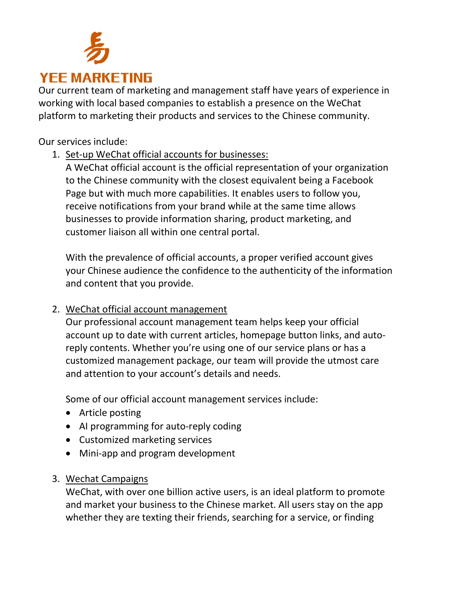

Our current team of marketing and management staff have years of experience in working with local based companies to establish a presence on the WeChat platform to marketing their products and services to the Chinese community.

Our services include:

1. Set-up WeChat official accounts for businesses:

A WeChat official account is the official representation of your organization to the Chinese community with the closest equivalent being a Facebook Page but with much more capabilities. It enables users to follow you, receive notifications from your brand while at the same time allows businesses to provide information sharing, product marketing, and customer liaison all within one central portal.

With the prevalence of official accounts, a proper verified account gives your Chinese audience the confidence to the authenticity of the information and content that you provide.

# 2. WeChat official account management

Our professional account management team helps keep your official account up to date with current articles, homepage button links, and autoreply contents. Whether you're using one of our service plans or has a customized management package, our team will provide the utmost care and attention to your account's details and needs.

Some of our official account management services include:

- Article posting
- AI programming for auto-reply coding
- Customized marketing services
- Mini-app and program development

# 3. Wechat Campaigns

WeChat, with over one billion active users, is an ideal platform to promote and market your business to the Chinese market. All users stay on the app whether they are texting their friends, searching for a service, or finding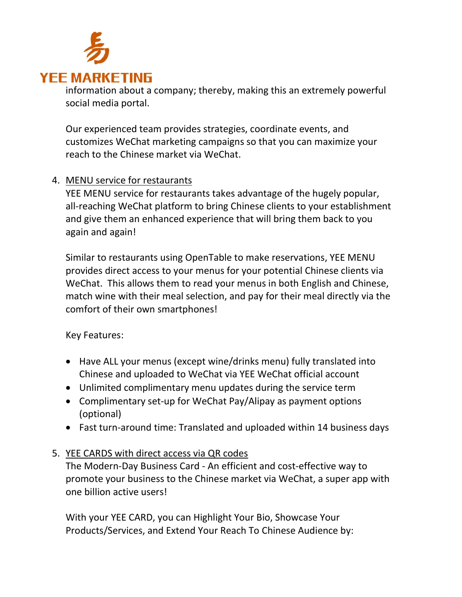

information about a company; thereby, making this an extremely powerful social media portal.

Our experienced team provides strategies, coordinate events, and customizes WeChat marketing campaigns so that you can maximize your reach to the Chinese market via WeChat.

# 4. MENU service for restaurants

YEE MENU service for restaurants takes advantage of the hugely popular, all-reaching WeChat platform to bring Chinese clients to your establishment and give them an enhanced experience that will bring them back to you again and again!

Similar to restaurants using OpenTable to make reservations, YEE MENU provides direct access to your menus for your potential Chinese clients via WeChat. This allows them to read your menus in both English and Chinese, match wine with their meal selection, and pay for their meal directly via the comfort of their own smartphones!

Key Features:

- Have ALL your menus (except wine/drinks menu) fully translated into Chinese and uploaded to WeChat via YEE WeChat official account
- Unlimited complimentary menu updates during the service term
- Complimentary set-up for WeChat Pay/Alipay as payment options (optional)
- Fast turn-around time: Translated and uploaded within 14 business days

# 5. YEE CARDS with direct access via QR codes

The Modern-Day Business Card - An efficient and cost-effective way to promote your business to the Chinese market via WeChat, a super app with one billion active users!

With your YEE CARD, you can Highlight Your Bio, Showcase Your Products/Services, and Extend Your Reach To Chinese Audience by: